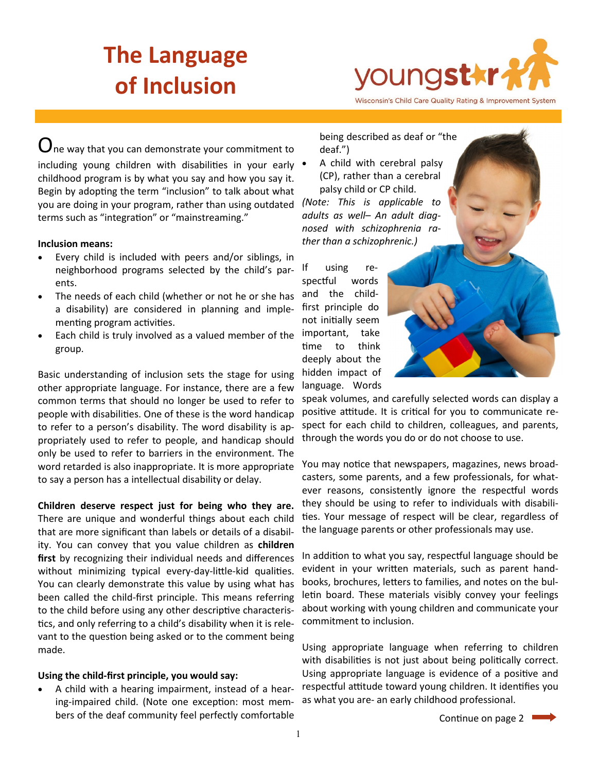# **The Language of Inclusion**



Wisconsin's Child Care Quality Rating & Improvement System

 $\mathbf U$ ne way that you can demonstrate your commitment to including young children with disabilities in your early • childhood program is by what you say and how you say it. Begin by adopting the term "inclusion" to talk about what you are doing in your program, rather than using outdated terms such as "integration" or "mainstreaming."

#### **Inclusion means:**

- Every child is included with peers and/or siblings, in neighborhood programs selected by the child's parents.
- The needs of each child (whether or not he or she has a disability) are considered in planning and implementing program activities.
- Each child is truly involved as a valued member of the group.

Basic understanding of inclusion sets the stage for using other appropriate language. For instance, there are a few common terms that should no longer be used to refer to people with disabilities. One of these is the word handicap to refer to a person's disability. The word disability is appropriately used to refer to people, and handicap should only be used to refer to barriers in the environment. The word retarded is also inappropriate. It is more appropriate to say a person has a intellectual disability or delay.

**Children deserve respect just for being who they are.**  There are unique and wonderful things about each child that are more significant than labels or details of a disability. You can convey that you value children as **children first** by recognizing their individual needs and differences without minimizing typical every-day-little-kid qualities. You can clearly demonstrate this value by using what has been called the child-first principle. This means referring to the child before using any other descriptive characteristics, and only referring to a child's disability when it is relevant to the question being asked or to the comment being made.

### **Using the child-first principle, you would say:**

 A child with a hearing impairment, instead of a hearing-impaired child. (Note one exception: most members of the deaf community feel perfectly comfortable

being described as deaf or "the deaf.")

 A child with cerebral palsy (CP), rather than a cerebral palsy child or CP child.

*(Note: This is applicable to adults as well– An adult diagnosed with schizophrenia rather than a schizophrenic.)*

If using respectful words and the childfirst principle do not initially seem important, take time to think deeply about the hidden impact of language. Words



speak volumes, and carefully selected words can display a positive attitude. It is critical for you to communicate respect for each child to children, colleagues, and parents, through the words you do or do not choose to use.

You may notice that newspapers, magazines, news broadcasters, some parents, and a few professionals, for whatever reasons, consistently ignore the respectful words they should be using to refer to individuals with disabilities. Your message of respect will be clear, regardless of the language parents or other professionals may use.

In addition to what you say, respectful language should be evident in your written materials, such as parent handbooks, brochures, letters to families, and notes on the bulletin board. These materials visibly convey your feelings about working with young children and communicate your commitment to inclusion.

Using appropriate language when referring to children with disabilities is not just about being politically correct. Using appropriate language is evidence of a positive and respectful attitude toward young children. It identifies you as what you are- an early childhood professional.

Continue on page 2